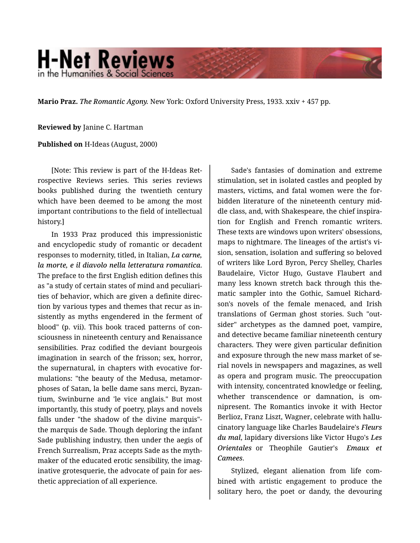## **H-Net Reviews** in the Humanities & Social Scienc

**Mario Praz.** *The Romantic Agony.* New York: Oxford University Press, 1933. xxiv + 457 pp.

**Reviewed by** Janine C. Hartman

**Published on** H-Ideas (August, 2000)

[Note: This review is part of the H-Ideas Ret‐ rospective Reviews series. This series reviews books published during the twentieth century which have been deemed to be among the most important contributions to the field of intellectual history.]

In 1933 Praz produced this impressionistic and encyclopedic study of romantic or decadent responses to modernity, titled, in Italian, *La carne, la morte, e il diavolo nella letteratura romantica*. The preface to the first English edition defines this as "a study of certain states of mind and peculiari‐ ties of behavior, which are given a definite direc‐ tion by various types and themes that recur as in‐ sistently as myths engendered in the ferment of blood" (p. vii). This book traced patterns of con‐ sciousness in nineteenth century and Renaissance sensibilities. Praz codified the deviant bourgeois imagination in search of the frisson; sex, horror, the supernatural, in chapters with evocative for‐ mulations: "the beauty of the Medusa, metamor‐ phoses of Satan, la belle dame sans merci, Byzan‐ tium, Swinburne and 'le vice anglais." But most importantly, this study of poetry, plays and novels falls under "the shadow of the divine marquis" the marquis de Sade. Though deploring the infant Sade publishing industry, then under the aegis of French Surrealism, Praz accepts Sade as the myth‐ maker of the educated erotic sensibility, the imag‐ inative grotesquerie, the advocate of pain for aesthetic appreciation of all experience.

Sade's fantasies of domination and extreme stimulation, set in isolated castles and peopled by masters, victims, and fatal women were the for‐ bidden literature of the nineteenth century mid‐ dle class, and, with Shakespeare, the chief inspira‐ tion for English and French romantic writers. These texts are windows upon writers' obsessions, maps to nightmare. The lineages of the artist's vi‐ sion, sensation, isolation and suffering so beloved of writers like Lord Byron, Percy Shelley, Charles Baudelaire, Victor Hugo, Gustave Flaubert and many less known stretch back through this the‐ matic sampler into the Gothic, Samuel Richard‐ son's novels of the female menaced, and Irish translations of German ghost stories. Such "out‐ sider" archetypes as the damned poet, vampire, and detective became familiar nineteenth century characters. They were given particular definition and exposure through the new mass market of se‐ rial novels in newspapers and magazines, as well as opera and program music. The preoccupation with intensity, concentrated knowledge or feeling, whether transcendence or damnation, is omnipresent. The Romantics invoke it with Hector Berlioz, Franz Liszt, Wagner, celebrate with hallu‐ cinatory language like Charles Baudelaire's *Fleurs du mal*, lapidary diversions like Victor Hugo's *Les Orientales* or Theophile Gautier's *Emaux et Camees*.

Stylized, elegant alienation from life com‐ bined with artistic engagement to produce the solitary hero, the poet or dandy, the devouring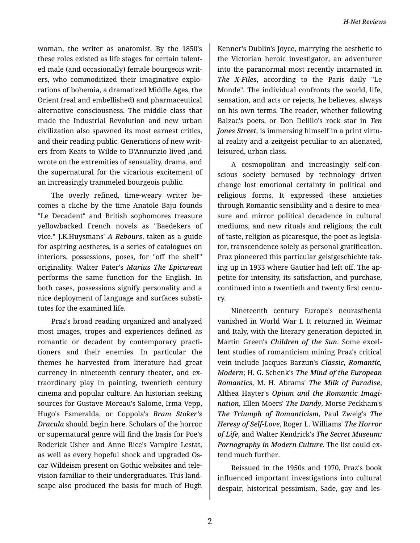woman, the writer as anatomist. By the 1850's these roles existed as life stages for certain talent‐ ed male (and occasionally) female bourgeois writ‐ ers, who commoditized their imaginative explo‐ rations of bohemia, a dramatized Middle Ages, the Orient (real and embellished) and pharmaceutical alternative consciousness. The middle class that made the Industrial Revolution and new urban civilization also spawned its most earnest critics, and their reading public. Generations of new writ‐ ers from Keats to Wilde to D'Annunzio lived ,and wrote on the extremities of sensuality, drama, and the supernatural for the vicarious excitement of an increasingly trammeled bourgeois public.

The overly refined, time-weary writer be‐ comes a cliche by the time Anatole Baju founds "Le Decadent" and British sophomores treasure yellowbacked French novels as "Baedekers of vice." J.K.Huysmans' *A Rebours*, taken as a guide for aspiring aesthetes, is a series of catalogues on interiors, possessions, poses, for "off the shelf" originality. Walter Pater's *Marius The Epicurean* performs the same function for the English. In both cases, possessions signify personality and a nice deployment of language and surfaces substi‐ tutes for the examined life.

Praz's broad reading organized and analyzed most images, tropes and experiences defined as romantic or decadent by contemporary practi‐ tioners and their enemies. In particular the themes he harvested from literature had great currency in nineteenth century theater, and ex‐ traordinary play in painting, twentieth century cinema and popular culture. An historian seeking sources for Gustave Moreau's Salome, Irma Vepp, Hugo's Esmeralda, or Coppola's *Bram Stoker's Dracula* should begin here. Scholars of the horror or supernatural genre will find the basis for Poe's Roderick Usher and Anne Rice's Vampire Lestat, as well as every hopeful shock and upgraded Os‐ car Wildeism present on Gothic websites and tele‐ vision familiar to their undergraduates. This land‐ scape also produced the basis for much of Hugh

Kenner's Dublin's Joyce, marrying the aesthetic to the Victorian heroic investigator, an adventurer into the paranormal most recently incarnated in *The X-Files*, according to the Paris daily "Le Monde". The individual confronts the world, life, sensation, and acts or rejects, he believes, always on his own terms. The reader, whether following Balzac's poets, or Don Delillo's rock star in *Ten Jones Street*, is immersing himself in a print virtu‐ al reality and a zeitgeist peculiar to an alienated, leisured, urban class.

A cosmopolitan and increasingly self-con‐ scious society bemused by technology driven change lost emotional certainty in political and religious forms. It expressed these anxieties through Romantic sensibility and a desire to mea‐ sure and mirror political decadence in cultural mediums, and new rituals and religions; the cult of taste, religion as picaresque, the poet as legisla‐ tor, transcendence solely as personal gratification. Praz pioneered this particular geistgeschichte tak‐ ing up in 1933 where Gautier had left off. The ap‐ petite for intensity, its satisfaction, and purchase, continued into a twentieth and twenty first centu‐ ry.

Nineteenth century Europe's neurasthenia vanished in World War I. It returned in Weimar and Italy, with the literary generation depicted in Martin Green's *Children of the Sun*. Some excel‐ lent studies of romanticism mining Praz's critical vein include Jacques Barzun's *Classic, Romantic, Modern*; H. G. Schenk's *The Mind of the European Romantics*, M. H. Abrams' *The Milk of Paradise*, Althea Hayter's *Opium and the Romantic Imagi‐ nation*, Ellen Moers' *The Dandy*, Morse Peckham's *The Triumph of Romanticism*, Paul Zweig's *The Heresy of Self-Love*, Roger L. Williams' *The Horror of Life*, and Walter Kendrick's *The Secret Museum: Pornography in Modern Culture*. The list could ex‐ tend much further.

Reissued in the 1950s and 1970, Praz's book influenced important investigations into cultural despair, historical pessimism, Sade, gay and les‐